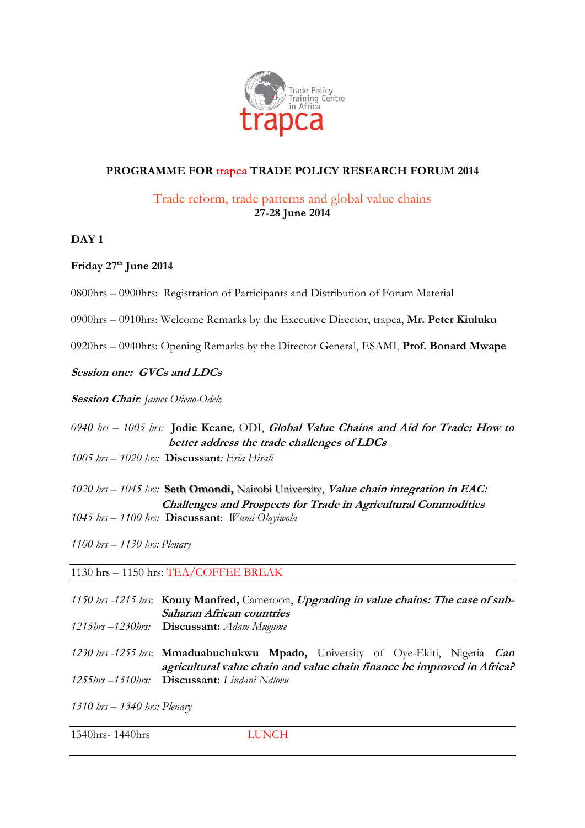

## **PROGRAMME FOR trapca TRADE POLICY RESEARCH FORUM 2014**

## Trade reform, trade patterns and global value chains **27-28 June 2014**

### **DAY 1**

## **Friday 27 th June 2014**

- 0800hrs 0900hrs: Registration of Participants and Distribution of Forum Material
- 0900hrs 0910hrs: Welcome Remarks by the Executive Director, trapca, **Mr. Peter Kiuluku**
- 0920hrs 0940hrs: Opening Remarks by the Director General, ESAMI, **Prof. Bonard Mwape**

#### **Session one: GVCs and LDCs**

**Session Chair***: James Otieno-Odek*

*0940 hrs – 1005 hrs:* **Jodie Keane***,* ODI, **Global Value Chains and Aid for Trade: How to better address the trade challenges of LDCs** *1005 hrs – 1020 hrs:* **Discussant***: Eria Hisali*

*1020 hrs – 1045 hrs:* **Seth Omondi,** Nairobi University, **Value chain integration in EAC: Challenges and Prospects for Trade in Agricultural Commodities** *1045 hrs – 1100 hrs:* **Discussant**: *Wumi Olayiwola*

*1100 hrs – 1130 hrs: Plenary*

1130 hrs – 1150 hrs: TEA/COFFEE BREAK

- *1150 hrs -1215 hrs*: **Kouty Manfred,** Cameroon, **Upgrading in value chains: The case of sub-Saharan African countries** *1215hrs –1230hrs:* **Discussant:** *Adam Mugume 1230 hrs -1255 hrs*: **Mmaduabuchukwu Mpado,** University of Oye-Ekiti, Nigeria **Can**
- **agricultural value chain and value chain finance be improved in Africa?** *1255hrs –1310hrs:* **Discussant:** *Lindani Ndlovu*

*1310 hrs – 1340 hrs: Plenary*

1340hrs- 1440hrs LUNCH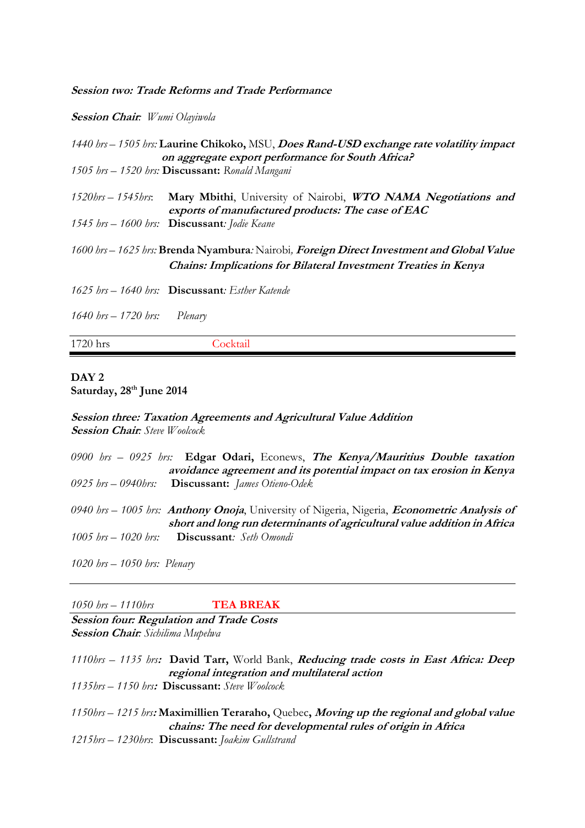**Session two: Trade Reforms and Trade Performance**

**Session Chair***: Wumi Olayiwola*

|                    | 1440 hrs – 1505 hrs: Laurine Chikoko, MSU, Does Rand-USD exchange rate volatility impact<br>on aggregate export performance for South Africa?                       |
|--------------------|---------------------------------------------------------------------------------------------------------------------------------------------------------------------|
|                    | 1505 hrs - 1520 hrs: Discussant: Ronald Mangani                                                                                                                     |
| 1520hrs — 1545hrs: | Mary Mbithi, University of Nairobi, WTO NAMA Negotiations and<br>exports of manufactured products: The case of EAC                                                  |
|                    | 1545 hrs - 1600 hrs: <b>Discussant</b> : Jodie Keane                                                                                                                |
|                    | 1600 brs – 1625 brs: Brenda Nyambura: Nairobi, Foreign Direct Investment and Global Value<br><b>Chains: Implications for Bilateral Investment Treaties in Kenya</b> |
|                    | 1625 $hrs - 1640$ hrs: <b>Discussant</b> : <i>Esther Katende</i>                                                                                                    |

*1640 hrs – 1720 hrs: Plenary*

|  |  | 1720 hrs |  |
|--|--|----------|--|
|--|--|----------|--|

Cocktail

#### **DAY 2 Saturday, 28 th June 2014**

**Session three: Taxation Agreements and Agricultural Value Addition Session Chair***: Steve Woolcock*

|                                | 0900 brs – 0925 brs: Edgar Odari, Econews, The Kenya/Mauritius Double taxation                             |
|--------------------------------|------------------------------------------------------------------------------------------------------------|
|                                | avoidance agreement and its potential impact on tax erosion in Kenya                                       |
|                                | 0925 hrs $-$ 0940 hrs: <b>Discussant:</b> James Otieno-Odek                                                |
|                                |                                                                                                            |
|                                | 0940 brs – 1005 brs: <b>Anthony Onoja</b> , University of Nigeria, Nigeria, <i>Econometric Analysis of</i> |
|                                | short and long run determinants of agricultural value addition in Africa                                   |
|                                | 1005 $hrs - 1020$ hrs: <b>Discussant</b> : Seth Omondi                                                     |
|                                |                                                                                                            |
|                                |                                                                                                            |
| 1020 $hrs - 1050$ hrs: Plenary |                                                                                                            |

*1050 hrs – 1110hrs* **TEA BREAK**

**Session four: Regulation and Trade Costs Session Chair***: Sichilima Mupelwa*

*1110hrs – 1135 hrs***: David Tarr,** World Bank, **Reducing trade costs in East Africa: Deep regional integration and multilateral action** *1135hrs – 1150 hrs***: Discussant:** *Steve Woolcock*

*1150hrs – 1215 hrs***: Maximillien Teraraho,** Quebec**, Moving up the regional and global value chains: The need for developmental rules of origin in Africa** *1215hrs – 1230hrs*: **Discussant:** *Joakim Gullstrand*